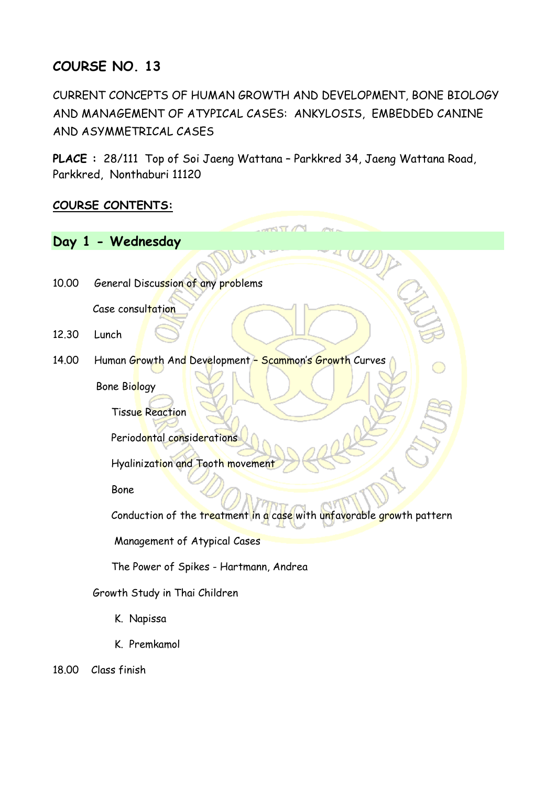## **COURSE NO. 13**

CURRENT CONCEPTS OF HUMAN GROWTH AND DEVELOPMENT, BONE BIOLOGY AND MANAGEMENT OF ATYPICAL CASES: ANKYLOSIS, EMBEDDED CANINE AND ASYMMETRICAL CASES

**PLACE :** 28/111 Top of Soi Jaeng Wattana – Parkkred 34, Jaeng Wattana Road, Parkkred, Nonthaburi 11120

## **COURSE CONTENTS:**

|       | Day 1 - Wednesday                                                     |
|-------|-----------------------------------------------------------------------|
|       |                                                                       |
| 10.00 | General Discussion of any problems                                    |
|       | Case consultation                                                     |
| 12.30 | Lunch                                                                 |
| 14.00 | Human Growth And Development - Scammon's Growth Curves                |
|       | Bone Biology                                                          |
|       | <b>Tissue Reaction</b>                                                |
|       | Periodontal considerations                                            |
|       | Hyalinization and Tooth movement                                      |
|       | <b>Bone</b>                                                           |
|       | Conduction of the treatment in a case with unfavorable growth pattern |
|       | Management of Atypical Cases                                          |
|       | The Power of Spikes - Hartmann, Andrea                                |
|       | Growth Study in Thai Children                                         |
|       | K. Napissa                                                            |
|       | K. Premkamol                                                          |

18.00 Class finish